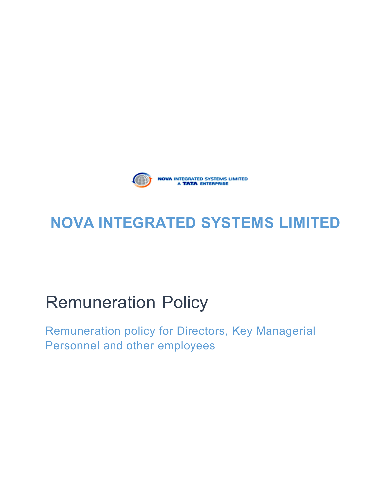

## **NOVA INTEGRATED** SYSTEMS LIMITED

## Remuneration Policy

Remuneration policy for Directors, Key Managerial Personnel and other employees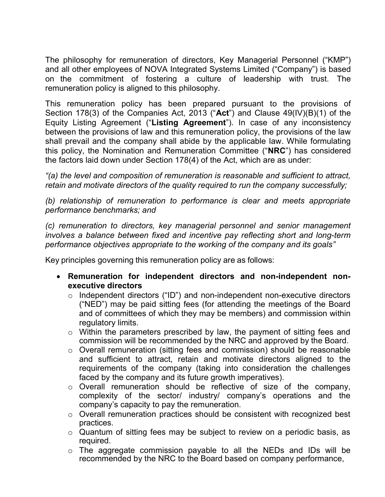The philosophy for remuneration of directors, Key Managerial Personnel ("KMP") and all other employees of NOVA Integrated Systems Limited ("Company") is based on the commitment of fostering a culture of leadership with trust. The remuneration policy is aligned to this philosophy.

This remuneration policy has been prepared pursuant to the provisions of Section 178(3) of the Companies Act, 2013 ("Act") and Clause 49(IV)(B)(1) of the Equity Listing Agreement ("Listing Agreement"). In case of any inconsistency between the provisions of law and this remuneration policy, the provisions of the law shall prevail and the company shall abide by the applicable law. While formulating this policy, the Nomination and Remuneration Committee ("NRC") has considered the factors laid down under Section 178(4) of the Act, which are as under:

"(a) the level and composition of remuneration is reasonable and sufficient to attract, retain and motivate directors of the quality required to run the company successfully;

(b) relationship of remuneration to performance is clear and meets appropriate performance benchmarks; and

(c) remuneration to directors, key managerial personnel and senior management involves a balance between fixed and incentive pay reflecting short and long-term performance objectives appropriate to the working of the company and its goals"

Key principles governing this remuneration policy are as follows:

- Remuneration for independent directors and non-independent nonexecutive directors
	- $\circ$  Independent directors ("ID") and non-independent non-executive directors ("NED") may be paid sitting fees (for attending the meetings of the Board and of committees of which they may be members) and commission within regulatory limits.
	- o Within the parameters prescribed by law, the payment of sitting fees and commission will be recommended by the NRC and approved by the Board.
	- o Overall remuneration (sitting fees and commission) should be reasonable and sufficient to attract, retain and motivate directors aligned to the requirements of the company (taking into consideration the challenges faced by the company and its future growth imperatives).
	- o Overall remuneration should be reflective of size of the company, complexity of the sector/ industry/ company's operations and the company's capacity to pay the remuneration.
	- o Overall remuneration practices should be consistent with recognized best practices.
	- o Quantum of sitting fees may be subject to review on a periodic basis, as required.
	- o The aggregate commission payable to all the NEDs and IDs will be recommended by the NRC to the Board based on company performance,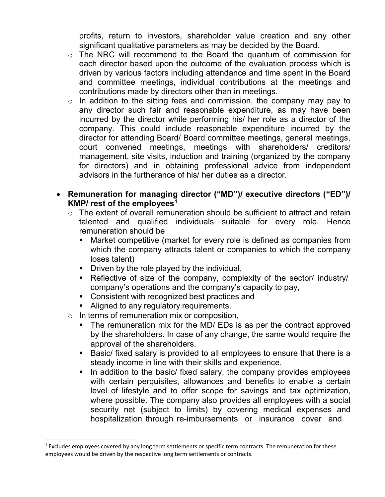profits, return to investors, shareholder value creation and any other significant qualitative parameters as may be decided by the Board.

- o The NRC will recommend to the Board the quantum of commission for each director based upon the outcome of the evaluation process which is driven by various factors including attendance and time spent in the Board and committee meetings, individual contributions at the meetings and contributions made by directors other than in meetings.
- $\circ$  In addition to the sitting fees and commission, the company may pay to any director such fair and reasonable expenditure, as may have been incurred by the director while performing his/ her role as a director of the company. This could include reasonable expenditure incurred by the director for attending Board/ Board committee meetings, general meetings, court convened meetings, meetings with shareholders/ creditors/ management, site visits, induction and training (organized by the company for directors) and in obtaining professional advice from independent advisors in the furtherance of his/ her duties as a director.
- Remuneration for managing director ("MD")/ executive directors ("ED")/ KMP/ rest of the employees<sup>1</sup>
	- o The extent of overall remuneration should be sufficient to attract and retain talented and qualified individuals suitable for every role. Hence remuneration should be
		- Market competitive (market for every role is defined as companies from which the company attracts talent or companies to which the company loses talent)
		- Driven by the role played by the individual,
		- Reflective of size of the company, complexity of the sector/ industry/ company's operations and the company's capacity to pay,
		- **Consistent with recognized best practices and**
		- Aligned to any regulatory requirements.
	- o In terms of remuneration mix or composition,
		- The remuneration mix for the MD/ EDs is as per the contract approved by the shareholders. In case of any change, the same would require the approval of the shareholders.
		- Basic/ fixed salary is provided to all employees to ensure that there is a steady income in line with their skills and experience.
		- In addition to the basic/ fixed salary, the company provides employees with certain perquisites, allowances and benefits to enable a certain level of lifestyle and to offer scope for savings and tax optimization, where possible. The company also provides all employees with a social security net (subject to limits) by covering medical expenses and hospitalization through re-imbursements or insurance cover and

 $1$  Excludes employees covered by any long term settlements or specific term contracts. The remuneration for these employees would be driven by the respective long term settlements or contracts.